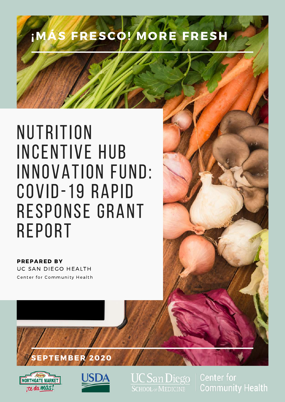## **IMÁS FRESCO! MORE FRESH**

## **NUTRITION** INCENTIVE HUB INNOVATION FUND: COVID-19 RAPID RESPONSE GRANT **REPORT**

UC SAN DIEGO HEALTH PREPARED BY Center for Community Health

### EPTEMBER 2020





**UC San Diego SCHOOL OF MEDICINE** 

**Center for Community Health**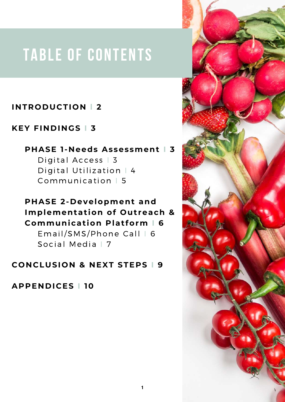## TABLE OF CONTENTS

#### **INTRODUCTION l 2**

#### **KEY FINDINGS I 3**

#### **PHASE 1-Needs Assessment I 3**

Digital Access | 3 Digital Utilization | 4 Communication | 5

#### **PHASE 2-Development and Implementation of Outreach & Communication Platform I 6**

Email/SMS/Phone Call | 6 Social Media | 7

#### **CONCLUSION & NEXT STEPS I 9**

**APPENDICES I 10**

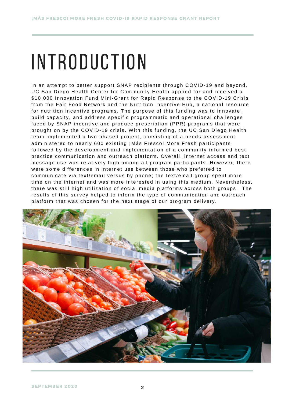# IN TRODUCTION

In an attempt to better support SNAP recipients through COVID-19 and beyond, UC San Diego Health Center for Community Health applied for and received a \$10,000 Innovation Fund Mini-Grant for Rapid Response to the COVID-19 Crisis from the Fair Food Network and the Nutrition Incentive Hub, a national resource for nutrition incentive programs. The purpose of this funding was to innovate, build capacity, and address specific programmatic and operational challenges faced by SNAP incentive and produce prescription (PPR) programs that were brought on by the COVID-19 crisis. With this funding, the UC San Diego Health team implemented a two-phased project, consisting of a needs-assessment administered to nearly 600 existing ¡Más Fresco! More Fresh participants followed by the development and implementation of a community-informed best practice communication and outreach platform. Overall, internet access and text message use was relatively high among all program participants. However, there were some differences in internet use between those who preferred to communicate via text/email versus by phone; the text/email group spent more time on the internet and was more interested in using this medium. Nevertheless, there was still high utilization of social media platforms across both groups. The results of this survey helped to inform the type of communication and outreach platform that was chosen for the next stage of our program delivery.

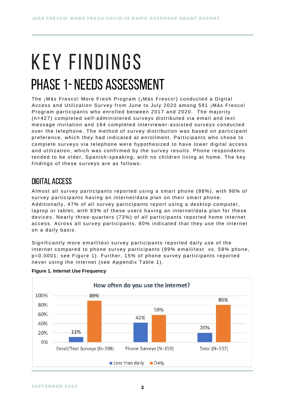## K F Y FINDINGS PHASE 1- NEEDS ASSESSMENT

The ¡Más Fresco! More Fresh Program (¡Más Fresco!) conducted a Digital Access and Utilization Survey from June to July 2020 among 591 ¡Más Fresco! Program participants who enrolled between 2017 and 2020. The majority (n=427) completed self-administered surveys distributed via email and text message invitation and 164 completed interviewer-assisted surveys conducted over the telephone. The method of survey distribution was based on participant preference, which they had indicated at enrollment. Participants who chose to complete surveys via telephone were hypothesized to have lower digital access and utilization, which was confirmed by the survey results. Phone respondents tended to be older, Spanish-speaking, with no children living at home. The key findings of these surveys are as follows:

#### digital access

Almost all survey participants reported using a smart phone (88%), with 98% of survey participants having an internet/data plan on their smart phone. Additionally, 47% of all survey participants report using a desktop computer, laptop or tablet, with 83% of these users having an internet/data plan for these devices. Nearly three-quarters (73%) of all participants reported home internet access. Across all survey participants, 80% indicated that they use the internet on a daily basis.

Significantly more email/text survey participants reported daily use of the internet compared to phone survey participants (89% email/text vs. 58% phone, p=0.0001; see Figure 1). Further, 15% of phone survey participants reported never using the internet (see Appendix Table 1).



#### **Figure 1. Internet Use Frequency**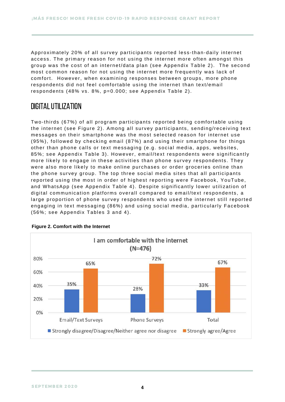Approximately 20% of all survey participants reported less-than-daily internet access. The primary reason for not using the internet more often amongst this group was the cost of an internet/data plan (see Appendix Table 2). The second most common reason for not using the internet more frequently was lack of comfort. However, when examining responses between groups, more phone respondents did not feel comfortable using the internet than text/email respondents (48% vs. 8%, p=0.000; see Appendix Table 2).

#### digital utilization

Two-thirds (67%) of all program participants reported being comfortable using the internet (see Figure 2). Among all survey participants, sending/receiving text messages on their smartphone was the most selected reason for internet use (95%), followed by checking email (87%) and using their smartphone for things other than phone calls or text messaging (e.g. social media, apps, websites, 85%; see Appendix Table 3). However, email/text respondents were significantly more likely to engage in these activities than phone survey respondents. They were also more likely to make online purchases or order groceries online than the phone survey group. The top three social media sites that all participants reported using the most in order of highest reporting were Facebook, YouTube, and WhatsApp (see Appendix Table 4). Despite significantly lower utilization of digital communication platforms overall compared to email/text respondents, a large proportion of phone survey respondents who used the internet still reported engaging in text messaging (86%) and using social media, particularly Facebook (56%; see Appendix Tables 3 and 4).



#### **Figure 2. Comfort with the Internet**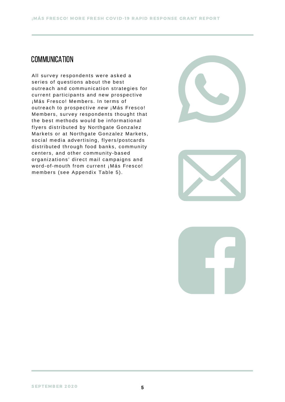#### **COMMUNICATION**

All survey respondents were asked a series of questions about the best outreach and communication strategies for current participants and new prospective ¡Más Fresco! Members. In terms of outreach to prospective *new* ¡Más Fresco! Members, survey respondents thought that the best methods would be informational flyers distributed by Northgate Gonzalez Markets or at Northgate Gonzalez Markets, social media advertising, flyers/postcards distributed through food banks, community centers, and other community-based organizations' direct mail campaigns and word-of-mouth from current ¡Más Fresco! members (see Appendix Table 5).





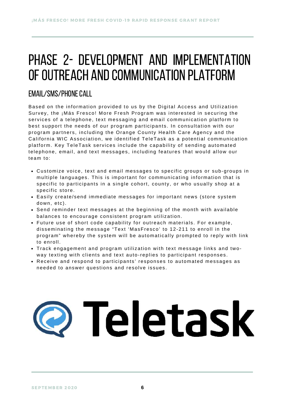### PHASE 2- DEVELOPMENT AND IMPLEMENTATION OF OUTREACH AND COMMUNICATION PLATFORM

#### EMAIL/SMS/PHONE CALL

Based on the information provided to us by the Digital Access and Utilization Survey, the ¡Más Fresco! More Fresh Program was interested in securing the services of a telephone, text messaging and email communication platform to best support the needs of our program participants. In consultation with our program partners, including the Orange County Health Care Agency and the California WIC Association, we identified TeleTask as a potential communication platform. Key TeleTask services include the capability of sending automated telephone, email, and text messages, including features that would allow our team to:

- Customize voice, text and email messages to specific groups or sub-groups in multiple languages. This is important for communicating information that is specific to participants in a single cohort, county, or who usually shop at a specific store.
- Easily create/send immediate messages for important news (store system down, etc).
- Send reminder text messages at the beginning of the month with available balances to encourage consistent program utilization.
- Future use of short code capability for outreach materials. For example, disseminating the message "Text 'MasFresco' to 12-211 to enroll in the program" whereby the system will be automatically prompted to reply with link to enroll.
- Track engagement and program utilization with text message links and twoway texting with clients and text auto-replies to participant responses.
- Receive and respond to participants' responses to automated messages as needed to answer questions and resolve issues.

# Teletask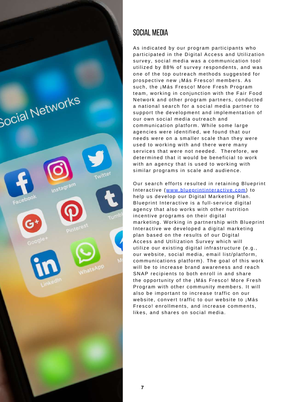

#### Social media

As indicated by our program participants who participated in the Digital Access and Utilization survey, social media was a communication tool utilized by 88% of survey respondents, and was one of the top outreach methods suggested for prospective new ¡Más Fresco! members. As such, the ¡Más Fresco! More Fresh Program team, working in conjunction with the Fair Food Network and other program partners, conducted a national search for a social media partner to support the development and implementation of our own social media outreach and communication platform. While some large agencies were identified, we found that our needs were on a smaller scale than they were used to working with and there were many services that were not needed. Therefore, we determined that it would be beneficial to work with an agency that is used to working with similar programs in scale and audience.

Our search efforts resulted in retaining Blueprint Interactive ([www.blueprintinteractive.com](https://blueprintinteractive.com/)) to help us develop our Digital Marketing Plan. Blueprint Interactive is a full-service digital agency that also works with other nutrition incentive programs on their digital marketing. Working in partnership with Blueprint Interactive we developed a digital marketing plan based on the results of our Digital Access and Utilization Survey which will utilize our existing digital infrastructure (e.g., our website, social media, email list/platform, communications platform). The goal of this work will be to increase brand awareness and reach SNAP recipients to both enroll in and share the opportunity of the ¡Más Fresco! More Fresh Program with other community members. It will also be important to increase traffic on our website, convert traffic to our website to ¡Más Fresco! enrollments, and increase comments, likes, and shares on social media.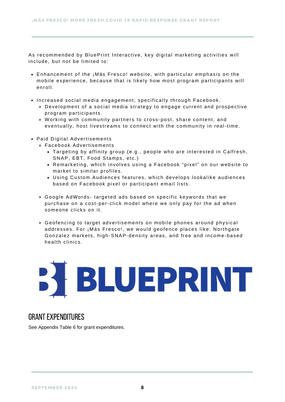As recommended by BluePrint Interactive, key digital marketing activities will include, but not be limited to:

- Enhancement of the ¡Más Fresco! website, with particular emphasis on the mobile experience, because that is likely how most program participants will enroll.
- Increased social media engagement, specifically through Facebook.
	- Development of a social media strategy to engage current and prospective program participants.
	- Working with community partners to cross-post, share content, and eventually, host livestreams to connect with the community in real-time.
- Paid Digital Advertisements
	- Facebook Advertisements
		- Targeting by affinity group (e.g., people who are interested in Calfresh, SNAP, EBT, Food Stamps, etc.)
		- Remarketing, which involves using a Facebook "pixel" on our website to market to similar profiles.
		- Using Custom Audiences features, which develops lookalike audiences based on Facebook pixel or participant email lists.
	- Google AdWords- targeted ads based on specific keywords that we purchase on a cost-per-click model where we only pay for the ad when someone clicks on it.
	- Geofencing to target advertisements on mobile phones around physical addresses. For ¡Más Fresco!, we would geofence places like: Northgate Gonzalez markets, high-SNAP-density areas, and free and income-based health clinics.

# BLUEPRINT

#### grant expenditures

See Appendix Table 6 for grant expenditures.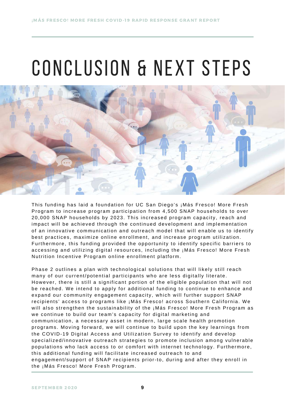# CONCLUSION & NEXT STEPS



This funding has laid a foundation for UC San Diego's ¡Más Fresco! More Fresh Program to increase program participation from 4,500 SNAP households to over 20,000 SNAP households by 2023. This increased program capacity, reach and impact will be achieved through the continued development and implementation of an innovative communication and outreach model that will enable us to identify best practices, maximize online enrollment, and increase program utilization. Furthermore, this funding provided the opportunity to identify specific barriers to accessing and utilizing digital resources, including the ¡Más Fresco! More Fresh Nutrition Incentive Program online enrollment platform.

Phase 2 outlines a plan with technological solutions that will likely still reach many of our current/potential participants who are less digitally literate. However, there is still a significant portion of the eligible population that will not be reached. We intend to apply for additional funding to continue to enhance and expand our community engagement capacity, which will further support SNAP recipients' access to programs like ¡Más Fresco! across Southern California. We will also strengthen the sustainability of the ¡Más Fresco! More Fresh Program as we continue to build our team's capacity for digital marketing and communication, a necessary asset in modern, large scale health promotion programs. Moving forward, we will continue to build upon the key learnings from the COVID-19 Digital Access and Utilization Survey to identify and develop specialized/innovative outreach strategies to promote inclusion among vulnerable populations who lack access to or comfort with internet technology. Furthermore, this additional funding will facilitate increased outreach to and engagement/support of SNAP recipients prior-to, during and after they enroll in the ¡Más Fresco! More Fresh Program.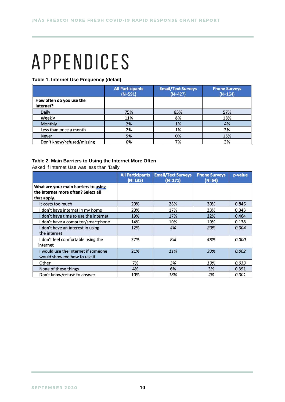## **APPENDICES**

**Table 1. Internet Use Frequency (detail)**

|                                       | <b>All Participants</b><br>$(N=591)$ | <b>Email/Text Surveys</b><br>$(N=427)$ | <b>Phone Surveys</b><br>$(N=164)$ |
|---------------------------------------|--------------------------------------|----------------------------------------|-----------------------------------|
| How often do you use the<br>internet? |                                      |                                        |                                   |
| Daily                                 | 75%                                  | 83%                                    | 57%                               |
| Weekly                                | 11%                                  | 8%                                     | 18%                               |
| Monthly                               | 2%                                   | 1%                                     | 4%                                |
| Less than once a month                | 2%                                   | 1%                                     | 3%                                |
| <b>Never</b>                          | 5%                                   | 0%                                     | 15%                               |
| Don't know/refused/missing            | 6%                                   | 7%                                     | 3%                                |

#### **Table 2. Main Barriers to Using the Internet More Often**

Asked if Internet Use was less than 'Daily'

|                                                                                            | <b>All Participants</b><br>$(N=135)$ | <b>Email/Text Surveys</b><br>$(N=271)$ | <b>Phone Surveys</b><br>$(N=64)$ | p-value |
|--------------------------------------------------------------------------------------------|--------------------------------------|----------------------------------------|----------------------------------|---------|
| What are your main barriers to using<br>the internet more often? Select all<br>that apply. |                                      |                                        |                                  |         |
| It costs too much                                                                          | 29%                                  | 28%                                    | 30%                              | 0.846   |
| don't have internet in my home                                                             | 20%                                  | 17%                                    | 23%                              | 0.343   |
| don't have time to use the internet                                                        | 19%                                  | 17%                                    | 22%                              | 0.464   |
| don't have a computer/smartphone                                                           | 14%                                  | 10%                                    | 19%                              | 0.138   |
| don't have an interest in using<br>the internet                                            | 12%                                  | 4%                                     | 20%                              | 0.004   |
| don't feel comfortable using the<br>internet                                               | 27%                                  | 8%                                     | 48%                              | 0.000   |
| I would use the internet if someone<br>would show me how to use it                         | 21%                                  | 11%                                    | 33%                              | 0.002   |
| Other                                                                                      | 7%                                   | 3%                                     | 13%                              | 0.033   |
| None of these things                                                                       | 4%                                   | 6%                                     | 3%                               | 0.391   |
| Don't know/refuse to answer                                                                | 10%                                  | 18%                                    | 2%                               | 0.001   |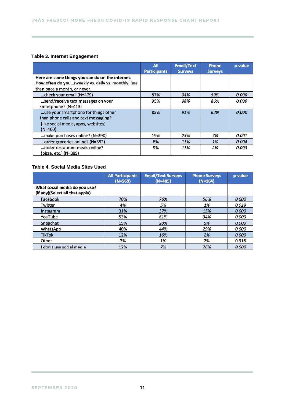#### **Table 3. Internet Engagement**

|                                                                                                                                         | All<br><b>Participants</b> | <b>Email/Text</b><br><b>Surveys</b> | <b>Phone</b><br><b>Surveys</b> | p-value |
|-----------------------------------------------------------------------------------------------------------------------------------------|----------------------------|-------------------------------------|--------------------------------|---------|
| Here are some things you can do on the internet.<br>How often do you(weekly vs. daily vs. monthly, less<br>than once a month, or never. |                            |                                     |                                |         |
| check your email (N=479)                                                                                                                | 87%                        | 94%                                 | 59%                            | 0.000   |
| send/receive text messages on your<br>smartphone? (N=413)                                                                               | 95%                        | 98%                                 | 86%                            | 0.000   |
| use your smartphone for things other<br>than phone calls and text messaging?<br>(like social media, apps, websites)<br>$(N=400)$        | 85%                        | 91%                                 | 62%                            | 0.000   |
| make purchases online? (N=390)                                                                                                          | 19%                        | 23%                                 | 7%                             | 0.001   |
| order groceries online? (N=382)                                                                                                         | 8%                         | 11%                                 | 1%                             | 0.004   |
| order restaurant meals online?<br>(pizza, etc.) (N=389)                                                                                 | 9%                         | 11%                                 | 2%                             | 0.003   |

#### **Table 4. Social Media Sites Used**

|                                                                  | <b>All Participants</b><br>$(N=569)$ | <b>Email/Text Surveys</b><br>$(N=405)$ | <b>Phone Surveys</b><br>$(N=164)$ | p-value |
|------------------------------------------------------------------|--------------------------------------|----------------------------------------|-----------------------------------|---------|
| What social media do you use?<br>(if any)(Select all that apply) |                                      |                                        |                                   |         |
| Facebook                                                         | 70%                                  | 76%                                    | 56%                               | 0.000   |
| Twitter                                                          | 4%                                   | 5%                                     | 1%                                | 0.019   |
| Instagram                                                        | 31%                                  | 37%                                    | 15%                               | 0.000   |
| YouTube                                                          | 53%                                  | 61%                                    | 34%                               | 0.000   |
| Snapchat                                                         | 15%                                  | 20%                                    | 5%                                | 0.000   |
| WhatsApp                                                         | 40%                                  | 44%                                    | 29%                               | 0.000   |
| <b>TikTok</b>                                                    | 12%                                  | 16%                                    | 2%                                | 0.000   |
| Other                                                            | 2%                                   | 1%                                     | 2%                                | 0.318   |
| don't use social media                                           | 12%                                  | 7%                                     | 26%                               | 0.000   |